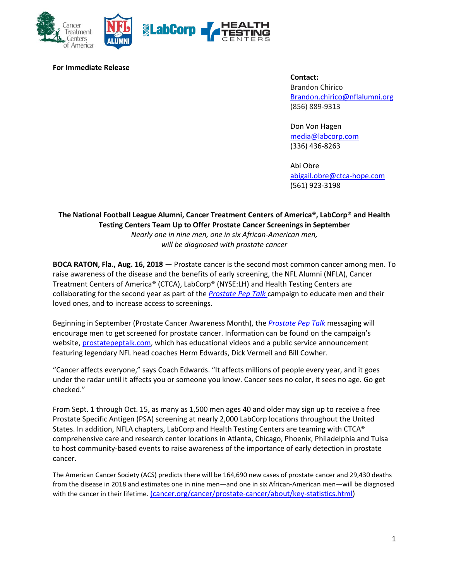

### **For Immediate Release**

#### **Contact:**

Brandon Chirico [Brandon.chirico@nflalumni.org](mailto:Brandon.chirico@nflalumni.org) (856) 889-9313

Don Von Hagen [media@labcorp.com](mailto:media@labcorp.com) (336) 436-8263

Abi Obre [abigail.obre@ctca-hope.com](mailto:abigail.obre@ctca-hope.com) (561) 923-3198

# **The National Football League Alumni, Cancer Treatment Centers of America®, LabCorp**® **and Health Testing Centers Team Up to Offer Prostate Cancer Screenings in September** *Nearly one in nine men, one in six African-American men, will be diagnosed with prostate cancer*

**BOCA RATON, Fla., Aug. 16, 2018** — Prostate cancer is the second most common cancer among men. To raise awareness of the disease and the benefits of early screening, the NFL Alumni (NFLA), Cancer Treatment Centers of America® (CTCA), LabCorp® (NYSE:LH) and Health Testing Centers are collaborating for the second year as part of the *[Prostate Pep Talk](http://www.prostatepeptalk.com/)* campaign to educate men and their loved ones, and to increase access to screenings.

Beginning in September (Prostate Cancer Awareness Month), the *[Prostate Pep Talk](http://www.prostatepeptalk.com/)* messaging will encourage men to get screened for prostate cancer. Information can be found on the campaign's website, [prostatepeptalk.com,](http://www.prostatepeptalk.com/) which has educational videos and a public service announcement featuring legendary NFL head coaches Herm Edwards, Dick Vermeil and Bill Cowher.

"Cancer affects everyone," says Coach Edwards. "It affects millions of people every year, and it goes under the radar until it affects you or someone you know. Cancer sees no color, it sees no age. Go get checked."

From Sept. 1 through Oct. 15, as many as 1,500 men ages 40 and older may sign up to receive a free Prostate Specific Antigen (PSA) screening at nearly 2,000 LabCorp locations throughout the United States. In addition, NFLA chapters, LabCorp and Health Testing Centers are teaming with CTCA® comprehensive care and research center locations in Atlanta, Chicago, Phoenix, Philadelphia and Tulsa to host community-based events to raise awareness of the importance of early detection in prostate cancer.

The American Cancer Society (ACS) predicts there will be 164,690 new cases of prostate cancer and 29,430 deaths from the disease in 2018 and estimates one in nine men—and one in six African-American men—will be diagnosed with the cancer in their lifetime. [\(cancer.org/cancer/prostate-cancer/about/key-statistics.html\)](https://www.cancer.org/cancer/prostate-cancer/about/key-statistics.html)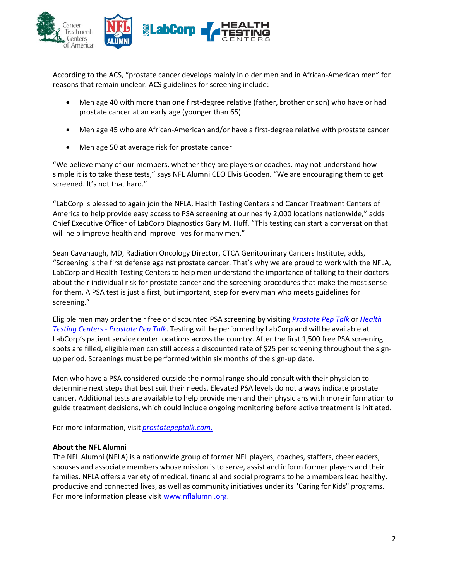

According to the ACS, "prostate cancer develops mainly in older men and in African-American men" for reasons that remain unclear. ACS guidelines for screening include:

- Men age 40 with more than one first-degree relative (father, brother or son) who have or had prostate cancer at an early age (younger than 65)
- Men age 45 who are African-American and/or have a first-degree relative with prostate cancer
- Men age 50 at average risk for prostate cancer

"We believe many of our members, whether they are players or coaches, may not understand how simple it is to take these tests," says NFL Alumni CEO Elvis Gooden. "We are encouraging them to get screened. It's not that hard."

"LabCorp is pleased to again join the NFLA, Health Testing Centers and Cancer Treatment Centers of America to help provide easy access to PSA screening at our nearly 2,000 locations nationwide," adds Chief Executive Officer of LabCorp Diagnostics Gary M. Huff. "This testing can start a conversation that will help improve health and improve lives for many men."

Sean Cavanaugh, MD, Radiation Oncology Director, CTCA Genitourinary Cancers Institute, adds, "Screening is the first defense against prostate cancer. That's why we are proud to work with the NFLA, LabCorp and Health Testing Centers to help men understand the importance of talking to their doctors about their individual risk for prostate cancer and the screening procedures that make the most sense for them. A PSA test is just a first, but important, step for every man who meets guidelines for screening."

Eligible men may order their free or discounted PSA screening by visiting *[Prostate Pep Talk](http://www.prostatepeptalk.com/)* or *[Health](http://www.healthtestingcenters.com/prostate-pep-talk)  Testing Centers - [Prostate Pep Talk](http://www.healthtestingcenters.com/prostate-pep-talk)*. Testing will be performed by LabCorp and will be available at LabCorp's patient service center locations across the country. After the first 1,500 free PSA screening spots are filled, eligible men can still access a discounted rate of \$25 per screening throughout the signup period. Screenings must be performed within six months of the sign-up date.

Men who have a PSA considered outside the normal range should consult with their physician to determine next steps that best suit their needs. Elevated PSA levels do not always indicate prostate cancer. Additional tests are available to help provide men and their physicians with more information to guide treatment decisions, which could include ongoing monitoring before active treatment is initiated.

For more information, visit *prostatepeptalk.com.*

## **About the NFL Alumni**

The NFL Alumni (NFLA) is a nationwide group of former NFL players, coaches, staffers, cheerleaders, spouses and associate members whose mission is to serve, assist and inform former players and their families. NFLA offers a variety of medical, financial and social programs to help members lead healthy, productive and connected lives, as well as community initiatives under its "Caring for Kids" programs. For more information please visit [www.nflalumni.org.](http://www.nflalumni.org/)